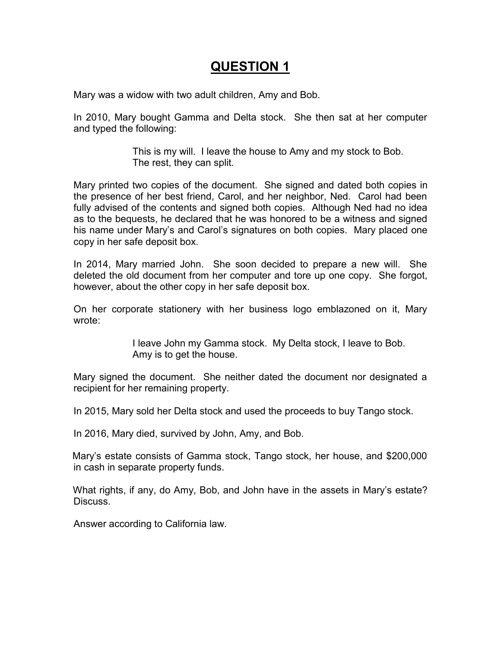# **QUESTION 1**

Mary was a widow with two adult children, Amy and Bob.

In 2010, Mary bought Gamma and Delta stock. She then sat at her computer and typed the following:

> This is my will. I leave the house to Amy and my stock to Bob. The rest, they can split.

Mary printed two copies of the document. She signed and dated both copies in the presence of her best friend, Carol, and her neighbor, Ned. Carol had been fully advised of the contents and signed both copies. Although Ned had no idea as to the bequests, he declared that he was honored to be a witness and signed his name under Mary's and Carol's signatures on both copies. Mary placed one copy in her safe deposit box.

In 2014, Mary married John. She soon decided to prepare a new will. She deleted the old document from her computer and tore up one copy. She forgot, however, about the other copy in her safe deposit box.

On her corporate stationery with her business logo emblazoned on it, Mary wrote:

> I leave John my Gamma stock. My Delta stock, I leave to Bob. Amy is to get the house.

Mary signed the document. She neither dated the document nor designated a recipient for her remaining property.

In 2015, Mary sold her Delta stock and used the proceeds to buy Tango stock.

In 2016, Mary died, survived by John, Amy, and Bob.

Mary's estate consists of Gamma stock, Tango stock, her house, and \$200,000 in cash in separate property funds.

What rights, if any, do Amy, Bob, and John have in the assets in Mary's estate? **Discuss** 

Answer according to California law.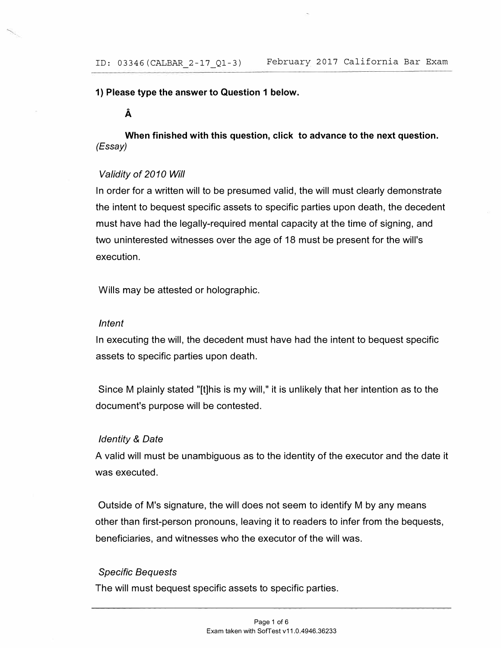**1) Please type the answer to Question 1 below.** 

**A** 

**When finished with this question, click to advance to the next question.**  *(Essay)* 

# *Validity of 2010 Will*

In order for a written will to be presumed valid, the will must clearly demonstrate the intent to bequest specific assets to specific parties upon death, the decedent must have had the legally-required mental capacity at the time of signing, and two uninterested witnesses over the age of 18 must be present for the will's execution.

Wills may be attested or holographic.

## *Intent*

In executing the will, the decedent must have had the intent to bequest specific assets to specific parties upon death.

Since M plainly stated "[t]his is my will," it is unlikely that her intention as to the document's purpose will be contested.

## *Identity* & *Date*

A valid will must be unambiguous as to the identity of the executor and the date it was executed.

Outside of M's signature, the will does not seem to identify M by any means other than first-person pronouns, leaving it to readers to infer from the bequests, beneficiaries, and witnesses who the executor of the will was.

# *Specific Bequests*

The will must bequest specific assets to specific parties.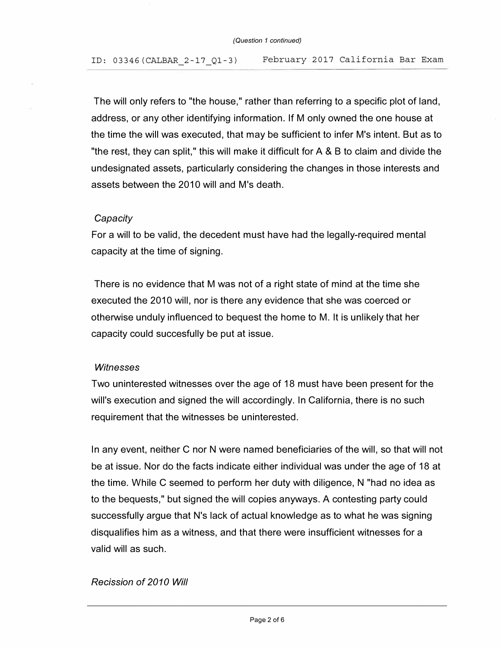The will only refers to "the house," rather than referring to a specific plot of land, address, or any other identifying information. If M only owned the one house at the time the will was executed, that may be sufficient to infer M's intent. But as to "the rest, they can split," this will make it difficult for A & B to claim and divide the undesignated assets, particularly considering the changes in those interests and assets between the 2010 will and M's death.

## *Capacity*

For a will to be valid, the decedent must have had the legally-required mental capacity at the time of signing.

There is no evidence that M was not of a right state of mind at the time she executed the 2010 will, nor is there any evidence that she was coerced or otherwise unduly influenced to bequest the home to M. It is unlikely that her capacity could succesfully be put at issue.

#### *Witnesses*

Two uninterested witnesses over the age of 18 must have been present for the will's execution and signed the will accordingly. In California, there is no such requirement that the witnesses be uninterested.

In any event, neither C nor N were named beneficiaries of the will, so that will not be at issue. Nor do the facts indicate either individual was under the age of 18 at the time. While C seemed to perform her duty with diligence, N "had no idea as to the bequests," but signed the will copies anyways. A contesting party could successfully argue that N's lack of actual knowledge as to what he was signing disqualifies him as a witness, and that there were insufficient witnesses for a valid will as such.

## *Recission of 2010 Will*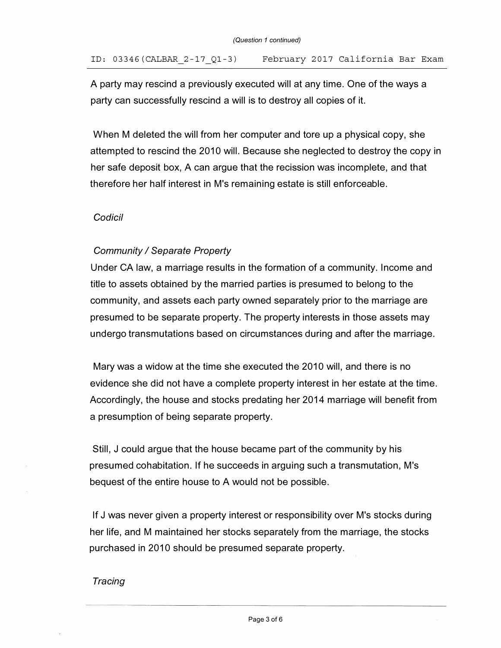#### ID: 03346(CALBAR\_2-17\_Ql-3) February 2017 California Bar Exam

A party may rescind a previously executed will at any time. One of the ways a party can successfully rescind a will is to destroy all copies of it.

When M deleted the will from her computer and tore up a physical copy, she attempted to rescind the 2010 will. Because she neglected to destroy the copy in her safe deposit box, A can argue that the recission was incomplete, and that therefore her half interest in M's remaining estate is still enforceable.

# *Codicil*

# *Community I Separate Property*

Under CA law, a marriage results in the formation of a community. Income and title to assets obtained by the married parties is presumed to belong to the community, and assets each party owned separately prior to the marriage are presumed to be separate property. The property interests in those assets may undergo transmutations based on circumstances during and after the marriage.

Mary was a widow at the time she executed the 2010 will, and there is no evidence she did not have a complete property interest in her estate at the time. Accordingly, the house and stocks predating her 2014 marriage will benefit from a presumption of being separate property.

Still, J could argue that the house became part of the community by his presumed cohabitation. If he succeeds in arguing such a transmutation, M 's bequest of the entire house to A would not be possible.

If J was never given a property interest or responsibility over M's stocks during her life, and M maintained her stocks separately from the marriage, the stocks purchased in 2010 should be presumed separate property.

#### *Tracing*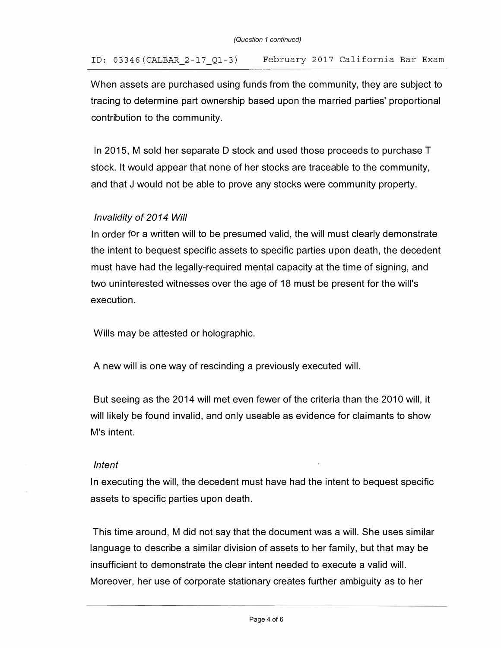When assets are purchased using funds from the community, they are subject to tracing to determine part ownership based upon the married parties' proportional contribution to the community.

In 2015, M sold her separate D stock and used those proceeds to purchase T stock. It would appear that none of her stocks are traceable to the community, and that J would not be able to prove any stocks were community property.

## *Invalidity of 2014 Will*

In order for a written will to be presumed valid, the will must clearly demonstrate the intent to bequest specific assets to specific parties upon death, the decedent must have had the legally-required mental capacity at the time of signing, and two uninterested witnesses over the age of 18 must be present for the will's execution.

Wills may be attested or holographic.

A new will is one way of rescinding a previously executed will.

But seeing as the 2014 will met even fewer of the criteria than the 2010 will, it will likely be found invalid, and only useable as evidence for claimants to show M's intent.

#### *Intent*

In executing the will, the decedent must have had the intent to bequest specific assets to specific parties upon death.

This time around, M did not say that the document was a will. She uses similar language to describe a similar division of assets to her family, but that may be insufficient to demonstrate the clear intent needed to execute a valid will. Moreover, her use of corporate stationary creates further ambiguity as to her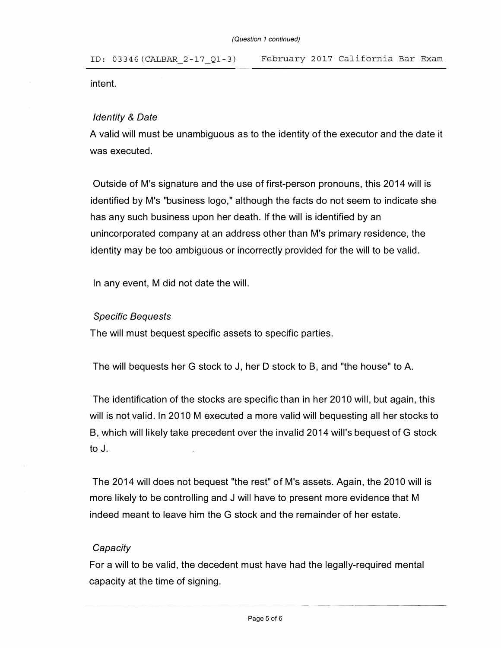intent.

## *Identity* & *Date*

A valid will must be unambiguous as to the identity of the executor and the date it was executed.

Outside of M's signature and the use of first-person pronouns, this 2014 will is identified by M's "business logo," although the facts do not seem to indicate she has any such business upon her death. If the will is identified by an unincorporated company at an address other than M's primary residence, the identity may be too ambiguous or incorrectly provided for the will to be valid.

In any event, M did not date the will.

## *Specific Bequests*

The will must bequest specific assets to specific parties.

The will bequests her G stock to J, her D stock to B, and "the house" to A.

The identification of the stocks are specific than in her 2010 will, but again, this will is not valid. In 2010 M executed a more valid will bequesting all her stocks to B, which will likely take precedent over the invalid 2014 will's bequest of G stock to J.

The 2014 will does not bequest "the rest" of M's assets. Again, the 2010 will is more likely to be controlling and J will have to present more evidence that M indeed meant to leave him the G stock and the remainder of her estate.

## *Capacity*

For a will to be valid, the decedent must have had the legally-required mental capacity at the time of signing.